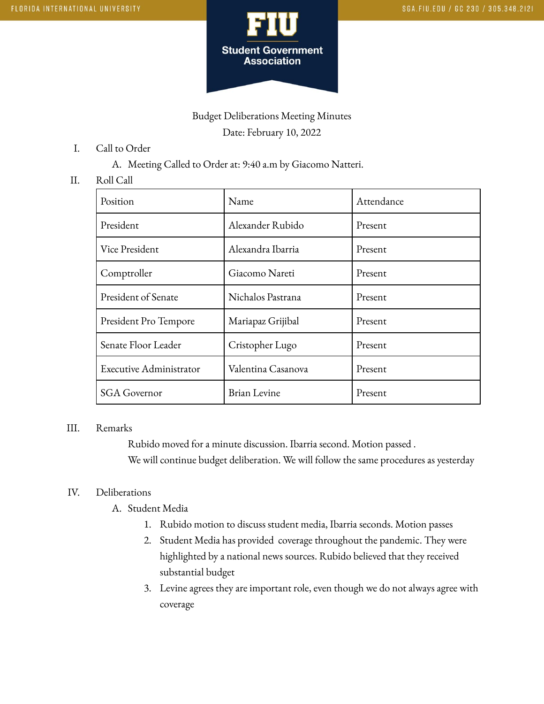

# Budget Deliberations Meeting Minutes Date: February 10, 2022

- I. Call to Order
	- A. Meeting Called to Order at: 9:40 a.m by Giacomo Natteri.

### II. Roll Call

| Position                | Name               | Attendance |
|-------------------------|--------------------|------------|
| President               | Alexander Rubido   | Present    |
| Vice President          | Alexandra Ibarria  | Present    |
| Comptroller             | Giacomo Nareti     | Present    |
| President of Senate     | Nichalos Pastrana  | Present    |
| President Pro Tempore   | Mariapaz Grijibal  | Present    |
| Senate Floor Leader     | Cristopher Lugo    | Present    |
| Executive Administrator | Valentina Casanova | Present    |
| <b>SGA</b> Governor     | Brian Levine       | Present    |

### III. Remarks

Rubido moved for a minute discussion. Ibarria second. Motion passed . We will continue budget deliberation. We will follow the same procedures as yesterday

## IV. Deliberations

- A. Student Media
	- 1. Rubido motion to discuss student media, Ibarria seconds. Motion passes
	- 2. Student Media has provided coverage throughout the pandemic. They were highlighted by a national news sources. Rubido believed that they received substantial budget
	- 3. Levine agrees they are important role, even though we do not always agree with coverage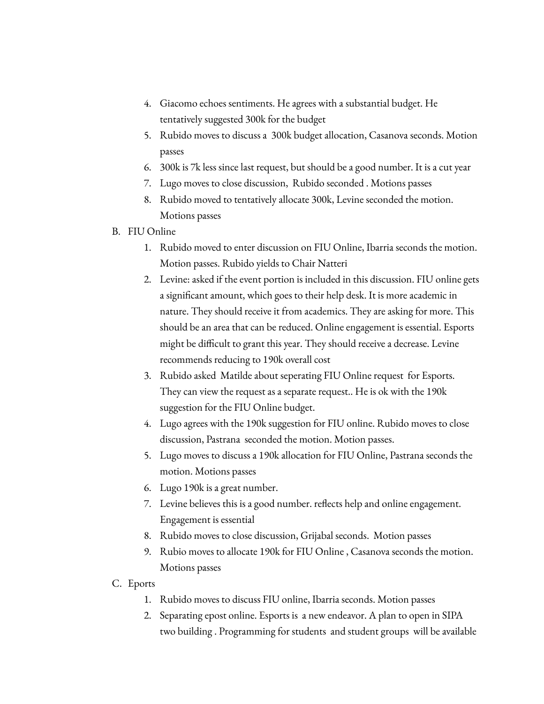- 4. Giacomo echoes sentiments. He agrees with a substantial budget. He tentatively suggested 300k for the budget
- 5. Rubido moves to discuss a 300k budget allocation, Casanova seconds. Motion passes
- 6. 300k is 7k less since last request, but should be a good number. It is a cut year
- 7. Lugo moves to close discussion, Rubido seconded . Motions passes
- 8. Rubido moved to tentatively allocate 300k, Levine seconded the motion. Motions passes
- B. FIU Online
	- 1. Rubido moved to enter discussion on FIU Online, Ibarria seconds the motion. Motion passes. Rubido yields to Chair Natteri
	- 2. Levine: asked if the event portion is included in this discussion. FIU online gets a significant amount, which goes to their help desk. It is more academic in nature. They should receive it from academics. They are asking for more. This should be an area that can be reduced. Online engagement is essential. Esports might be difficult to grant this year. They should receive a decrease. Levine recommends reducing to 190k overall cost
	- 3. Rubido asked Matilde about seperating FIU Online request for Esports. They can view the request as a separate request.. He is ok with the 190k suggestion for the FIU Online budget.
	- 4. Lugo agrees with the 190k suggestion for FIU online. Rubido moves to close discussion, Pastrana seconded the motion. Motion passes.
	- 5. Lugo moves to discuss a 190k allocation for FIU Online, Pastrana seconds the motion. Motions passes
	- 6. Lugo 190k is a great number.
	- 7. Levine believes this is a good number. reflects help and online engagement. Engagement is essential
	- 8. Rubido moves to close discussion, Grijabal seconds. Motion passes
	- 9. Rubio moves to allocate 190k for FIU Online , Casanova seconds the motion. Motions passes
- C. Eports
	- 1. Rubido moves to discuss FIU online, Ibarria seconds. Motion passes
	- 2. Separating epost online. Esports is a new endeavor. A plan to open in SIPA two building . Programming for students and student groups will be available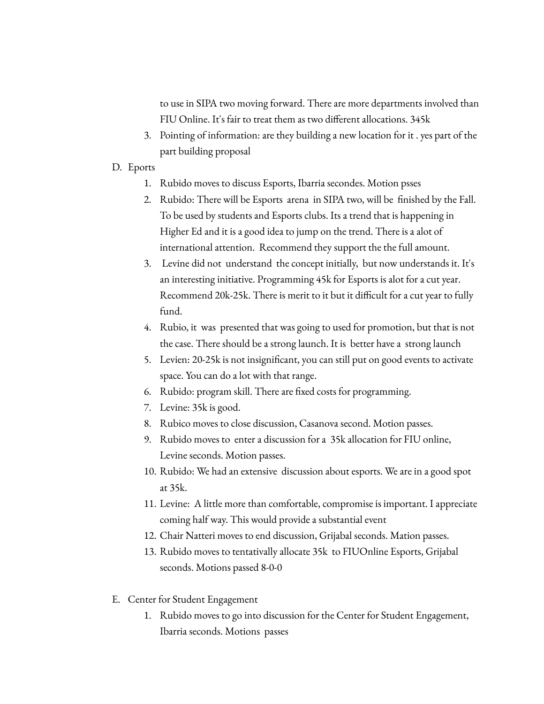to use in SIPA two moving forward. There are more departments involved than FIU Online. It's fair to treat them as two different allocations. 345k

- 3. Pointing of information: are they building a new location for it . yes part of the part building proposal
- D. Eports
	- 1. Rubido moves to discuss Esports, Ibarria secondes. Motion psses
	- 2. Rubido: There will be Esports arena in SIPA two, will be finished by the Fall. To be used by students and Esports clubs. Its a trend that is happening in Higher Ed and it is a good idea to jump on the trend. There is a alot of international attention. Recommend they support the the full amount.
	- 3. Levine did not understand the concept initially, but now understands it. It's an interesting initiative. Programming 45k for Esports is alot for a cut year. Recommend 20k-25k. There is merit to it but it difficult for a cut year to fully fund.
	- 4. Rubio, it was presented that was going to used for promotion, but that is not the case. There should be a strong launch. It is better have a strong launch
	- 5. Levien: 20-25k is not insignificant, you can still put on good events to activate space. You can do a lot with that range.
	- 6. Rubido: program skill. There are fixed costs for programming.
	- 7. Levine: 35k is good.
	- 8. Rubico moves to close discussion, Casanova second. Motion passes.
	- 9. Rubido moves to enter a discussion for a 35k allocation for FIU online, Levine seconds. Motion passes.
	- 10. Rubido: We had an extensive discussion about esports. We are in a good spot at 35k.
	- 11. Levine: A little more than comfortable, compromise is important. I appreciate coming half way. This would provide a substantial event
	- 12. Chair Natteri moves to end discussion, Grijabal seconds. Mation passes.
	- 13. Rubido moves to tentativally allocate 35k to FIUOnline Esports, Grijabal seconds. Motions passed 8-0-0
- E. Center for Student Engagement
	- 1. Rubido moves to go into discussion for the Center for Student Engagement, Ibarria seconds. Motions passes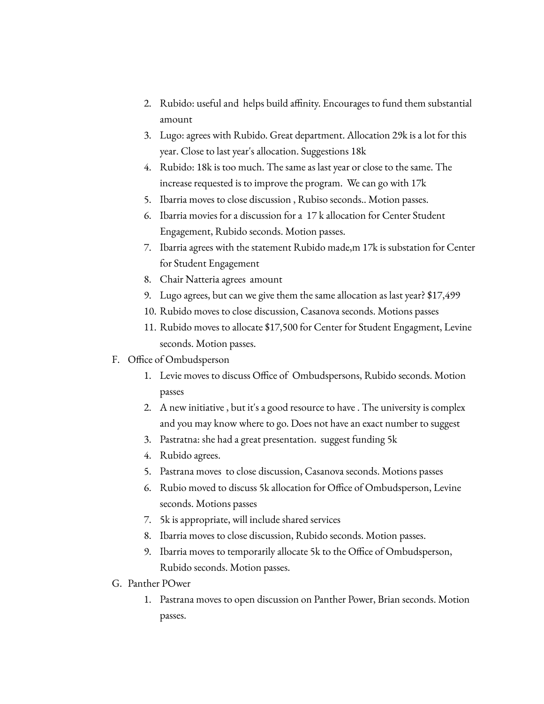- 2. Rubido: useful and helps build affinity. Encourages to fund them substantial amount
- 3. Lugo: agrees with Rubido. Great department. Allocation 29k is a lot for this year. Close to last year's allocation. Suggestions 18k
- 4. Rubido: 18k is too much. The same as last year or close to the same. The increase requested is to improve the program. We can go with 17k
- 5. Ibarria moves to close discussion , Rubiso seconds.. Motion passes.
- 6. Ibarria movies for a discussion for a 17 k allocation for Center Student Engagement, Rubido seconds. Motion passes.
- 7. Ibarria agrees with the statement Rubido made,m 17k is substation for Center for Student Engagement
- 8. Chair Natteria agrees amount
- 9. Lugo agrees, but can we give them the same allocation as last year? \$17,499
- 10. Rubido moves to close discussion, Casanova seconds. Motions passes
- 11. Rubido moves to allocate \$17,500 for Center for Student Engagment, Levine seconds. Motion passes.
- F. Office of Ombudsperson
	- 1. Levie moves to discuss Office of Ombudspersons, Rubido seconds. Motion passes
	- 2. A new initiative , but it's a good resource to have . The university is complex and you may know where to go. Does not have an exact number to suggest
	- 3. Pastratna: she had a great presentation. suggest funding 5k
	- 4. Rubido agrees.
	- 5. Pastrana moves to close discussion, Casanova seconds. Motions passes
	- 6. Rubio moved to discuss 5k allocation for Office of Ombudsperson, Levine seconds. Motions passes
	- 7. 5k is appropriate, will include shared services
	- 8. Ibarria moves to close discussion, Rubido seconds. Motion passes.
	- 9. Ibarria moves to temporarily allocate 5k to the Office of Ombudsperson, Rubido seconds. Motion passes.
- G. Panther POwer
	- 1. Pastrana moves to open discussion on Panther Power, Brian seconds. Motion passes.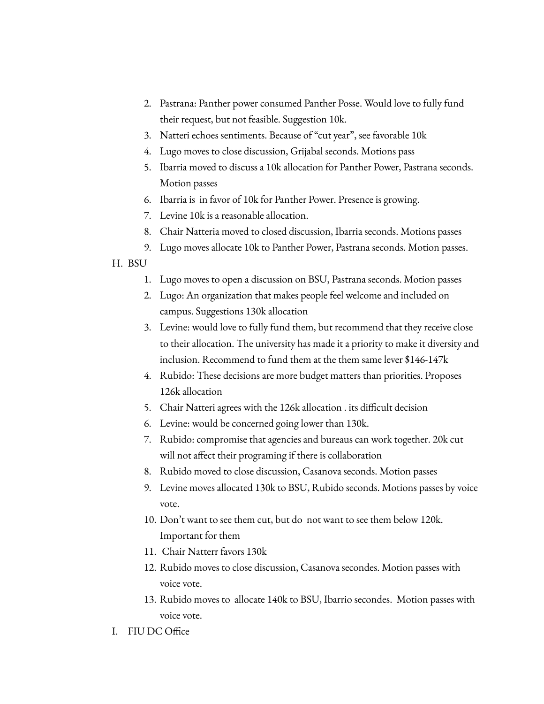- 2. Pastrana: Panther power consumed Panther Posse. Would love to fully fund their request, but not feasible. Suggestion 10k.
- 3. Natteri echoes sentiments. Because of "cut year", see favorable 10k
- 4. Lugo moves to close discussion, Grijabal seconds. Motions pass
- 5. Ibarria moved to discuss a 10k allocation for Panther Power, Pastrana seconds. Motion passes
- 6. Ibarria is in favor of 10k for Panther Power. Presence is growing.
- 7. Levine 10k is a reasonable allocation.
- 8. Chair Natteria moved to closed discussion, Ibarria seconds. Motions passes
- 9. Lugo moves allocate 10k to Panther Power, Pastrana seconds. Motion passes.

## H. BSU

- 1. Lugo moves to open a discussion on BSU, Pastrana seconds. Motion passes
- 2. Lugo: An organization that makes people feel welcome and included on campus. Suggestions 130k allocation
- 3. Levine: would love to fully fund them, but recommend that they receive close to their allocation. The university has made it a priority to make it diversity and inclusion. Recommend to fund them at the them same lever \$146-147k
- 4. Rubido: These decisions are more budget matters than priorities. Proposes 126k allocation
- 5. Chair Natteri agrees with the 126k allocation . its difficult decision
- 6. Levine: would be concerned going lower than 130k.
- 7. Rubido: compromise that agencies and bureaus can work together. 20k cut will not affect their programing if there is collaboration
- 8. Rubido moved to close discussion, Casanova seconds. Motion passes
- 9. Levine moves allocated 130k to BSU, Rubido seconds. Motions passes by voice vote.
- 10. Don't want to see them cut, but do not want to see them below 120k. Important for them
- 11. Chair Natterr favors 130k
- 12. Rubido moves to close discussion, Casanova secondes. Motion passes with voice vote.
- 13. Rubido moves to allocate 140k to BSU, Ibarrio secondes. Motion passes with voice vote.
- I. FIU DC Office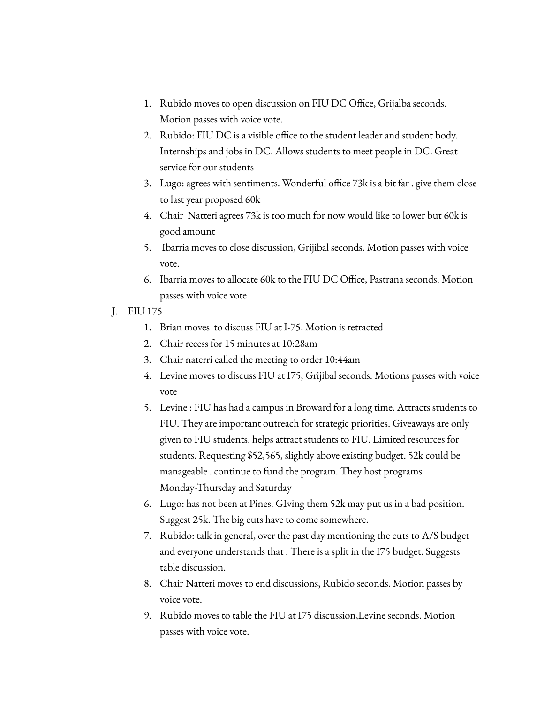- 1. Rubido moves to open discussion on FIU DC Office, Grijalba seconds. Motion passes with voice vote.
- 2. Rubido: FIU DC is a visible office to the student leader and student body. Internships and jobs in DC. Allows students to meet people in DC. Great service for our students
- 3. Lugo: agrees with sentiments. Wonderful office 73k is a bit far . give them close to last year proposed 60k
- 4. Chair Natteri agrees 73k is too much for now would like to lower but 60k is good amount
- 5. Ibarria moves to close discussion, Grijibal seconds. Motion passes with voice vote.
- 6. Ibarria moves to allocate 60k to the FIU DC Office, Pastrana seconds. Motion passes with voice vote
- J. FIU 175
	- 1. Brian moves to discuss FIU at I-75. Motion is retracted
	- 2. Chair recess for 15 minutes at 10:28am
	- 3. Chair naterri called the meeting to order 10:44am
	- 4. Levine moves to discuss FIU at I75, Grijibal seconds. Motions passes with voice vote
	- 5. Levine : FIU has had a campus in Broward for a long time. Attracts students to FIU. They are important outreach for strategic priorities. Giveaways are only given to FIU students. helps attract students to FIU. Limited resources for students. Requesting \$52,565, slightly above existing budget. 52k could be manageable . continue to fund the program. They host programs Monday-Thursday and Saturday
	- 6. Lugo: has not been at Pines. GIving them 52k may put us in a bad position. Suggest 25k. The big cuts have to come somewhere.
	- 7. Rubido: talk in general, over the past day mentioning the cuts to A/S budget and everyone understands that . There is a split in the I75 budget. Suggests table discussion.
	- 8. Chair Natteri moves to end discussions, Rubido seconds. Motion passes by voice vote.
	- 9. Rubido moves to table the FIU at I75 discussion,Levine seconds. Motion passes with voice vote.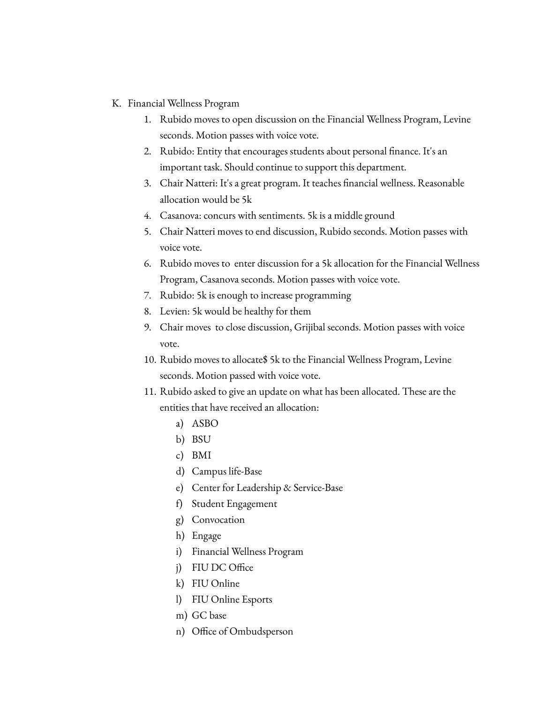- K. Financial Wellness Program
	- 1. Rubido moves to open discussion on the Financial Wellness Program, Levine seconds. Motion passes with voice vote.
	- 2. Rubido: Entity that encourages students about personal finance. It's an important task. Should continue to support this department.
	- 3. Chair Natteri: It's a great program. It teaches financial wellness. Reasonable allocation would be 5k
	- 4. Casanova: concurs with sentiments. 5k is a middle ground
	- 5. Chair Natteri moves to end discussion, Rubido seconds. Motion passes with voice vote.
	- 6. Rubido moves to enter discussion for a 5k allocation for the Financial Wellness Program, Casanova seconds. Motion passes with voice vote.
	- 7. Rubido: 5k is enough to increase programming
	- 8. Levien: 5k would be healthy for them
	- 9. Chair moves to close discussion, Grijibal seconds. Motion passes with voice vote.
	- 10. Rubido moves to allocate\$ 5k to the Financial Wellness Program, Levine seconds. Motion passed with voice vote.
	- 11. Rubido asked to give an update on what has been allocated. These are the entities that have received an allocation:
		- a) ASBO
		- b) BSU
		- c) BMI
		- d) Campus life-Base
		- e) Center for Leadership & Service-Base
		- f) Student Engagement
		- g) Convocation
		- h) Engage
		- i) Financial Wellness Program
		- j) FIU DC Office
		- k) FIU Online
		- l) FIU Online Esports
		- m) GC base
		- n) Office of Ombudsperson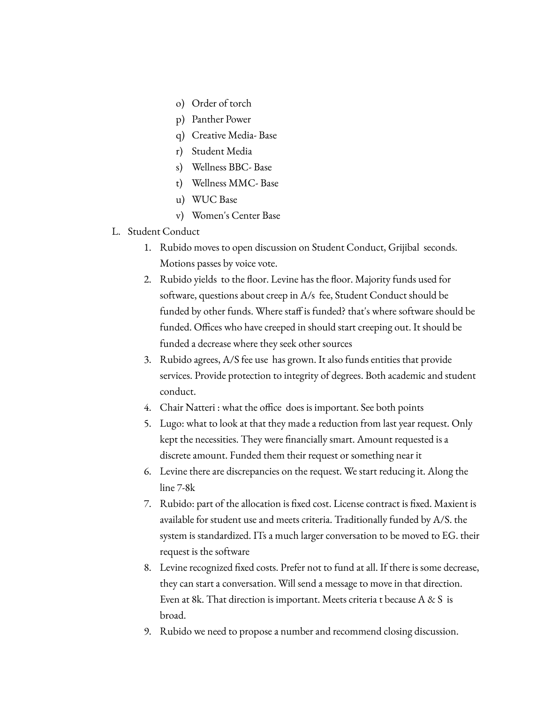- o) Order of torch
- p) Panther Power
- q) Creative Media- Base
- r) Student Media
- s) Wellness BBC- Base
- t) Wellness MMC- Base
- u) WUC Base
- v) Women's Center Base
- L. Student Conduct
	- 1. Rubido moves to open discussion on Student Conduct, Grijibal seconds. Motions passes by voice vote.
	- 2. Rubido yields to the floor. Levine has the floor. Majority funds used for software, questions about creep in A/s fee, Student Conduct should be funded by other funds. Where staff is funded? that's where software should be funded. Offices who have creeped in should start creeping out. It should be funded a decrease where they seek other sources
	- 3. Rubido agrees, A/S fee use has grown. It also funds entities that provide services. Provide protection to integrity of degrees. Both academic and student conduct.
	- 4. Chair Natteri : what the office does is important. See both points
	- 5. Lugo: what to look at that they made a reduction from last year request. Only kept the necessities. They were financially smart. Amount requested is a discrete amount. Funded them their request or something near it
	- 6. Levine there are discrepancies on the request. We start reducing it. Along the line 7-8k
	- 7. Rubido: part of the allocation is fixed cost. License contract is fixed. Maxient is available for student use and meets criteria. Traditionally funded by A/S. the system is standardized. ITs a much larger conversation to be moved to EG. their request is the software
	- 8. Levine recognized fixed costs. Prefer not to fund at all. If there is some decrease, they can start a conversation. Will send a message to move in that direction. Even at 8k. That direction is important. Meets criteria t because A & S is broad.
	- 9. Rubido we need to propose a number and recommend closing discussion.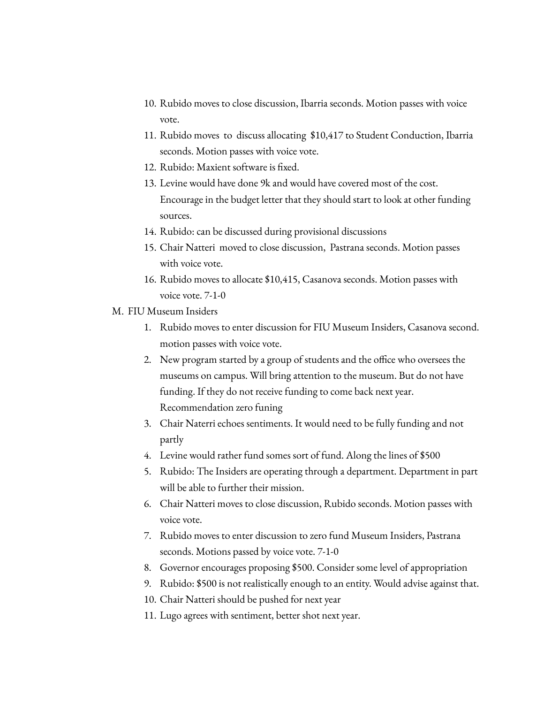- 10. Rubido moves to close discussion, Ibarria seconds. Motion passes with voice vote.
- 11. Rubido moves to discuss allocating \$10,417 to Student Conduction, Ibarria seconds. Motion passes with voice vote.
- 12. Rubido: Maxient software is fixed.
- 13. Levine would have done 9k and would have covered most of the cost. Encourage in the budget letter that they should start to look at other funding sources.
- 14. Rubido: can be discussed during provisional discussions
- 15. Chair Natteri moved to close discussion, Pastrana seconds. Motion passes with voice vote.
- 16. Rubido moves to allocate \$10,415, Casanova seconds. Motion passes with voice vote. 7-1-0
- M. FIU Museum Insiders
	- 1. Rubido moves to enter discussion for FIU Museum Insiders, Casanova second. motion passes with voice vote.
	- 2. New program started by a group of students and the office who oversees the museums on campus. Will bring attention to the museum. But do not have funding. If they do not receive funding to come back next year. Recommendation zero funing
	- 3. Chair Naterri echoes sentiments. It would need to be fully funding and not partly
	- 4. Levine would rather fund somes sort of fund. Along the lines of \$500
	- 5. Rubido: The Insiders are operating through a department. Department in part will be able to further their mission.
	- 6. Chair Natteri moves to close discussion, Rubido seconds. Motion passes with voice vote.
	- 7. Rubido moves to enter discussion to zero fund Museum Insiders, Pastrana seconds. Motions passed by voice vote. 7-1-0
	- 8. Governor encourages proposing \$500. Consider some level of appropriation
	- 9. Rubido: \$500 is not realistically enough to an entity. Would advise against that.
	- 10. Chair Natteri should be pushed for next year
	- 11. Lugo agrees with sentiment, better shot next year.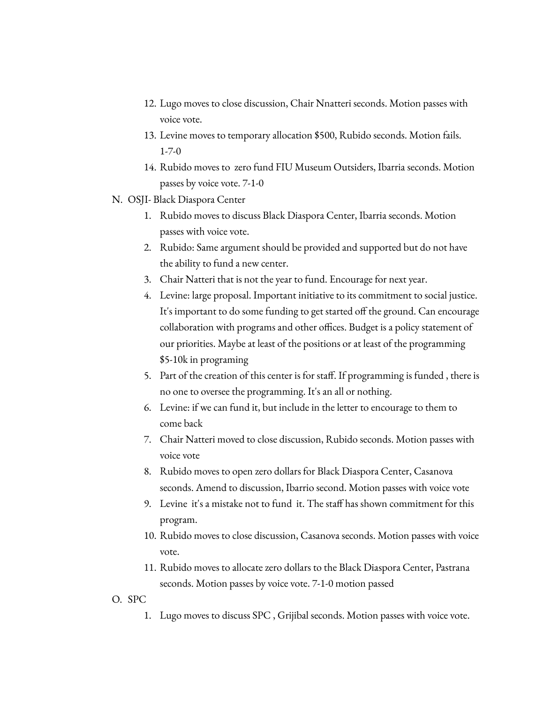- 12. Lugo moves to close discussion, Chair Nnatteri seconds. Motion passes with voice vote.
- 13. Levine moves to temporary allocation \$500, Rubido seconds. Motion fails. 1-7-0
- 14. Rubido moves to zero fund FIU Museum Outsiders, Ibarria seconds. Motion passes by voice vote. 7-1-0
- N. OSJI- Black Diaspora Center
	- 1. Rubido moves to discuss Black Diaspora Center, Ibarria seconds. Motion passes with voice vote.
	- 2. Rubido: Same argument should be provided and supported but do not have the ability to fund a new center.
	- 3. Chair Natteri that is not the year to fund. Encourage for next year.
	- 4. Levine: large proposal. Important initiative to its commitment to social justice. It's important to do some funding to get started off the ground. Can encourage collaboration with programs and other offices. Budget is a policy statement of our priorities. Maybe at least of the positions or at least of the programming \$5-10k in programing
	- 5. Part of the creation of this center is for staff. If programming is funded , there is no one to oversee the programming. It's an all or nothing.
	- 6. Levine: if we can fund it, but include in the letter to encourage to them to come back
	- 7. Chair Natteri moved to close discussion, Rubido seconds. Motion passes with voice vote
	- 8. Rubido moves to open zero dollars for Black Diaspora Center, Casanova seconds. Amend to discussion, Ibarrio second. Motion passes with voice vote
	- 9. Levine it's a mistake not to fund it. The staff has shown commitment for this program.
	- 10. Rubido moves to close discussion, Casanova seconds. Motion passes with voice vote.
	- 11. Rubido moves to allocate zero dollars to the Black Diaspora Center, Pastrana seconds. Motion passes by voice vote. 7-1-0 motion passed
- O. SPC
	- 1. Lugo moves to discuss SPC , Grijibal seconds. Motion passes with voice vote.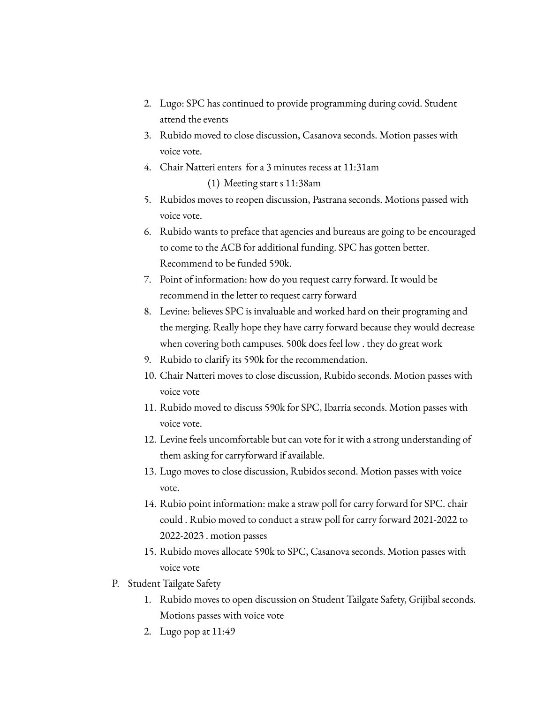- 2. Lugo: SPC has continued to provide programming during covid. Student attend the events
- 3. Rubido moved to close discussion, Casanova seconds. Motion passes with voice vote.
- 4. Chair Natteri enters for a 3 minutes recess at 11:31am (1) Meeting start s 11:38am
- 5. Rubidos moves to reopen discussion, Pastrana seconds. Motions passed with voice vote.
- 6. Rubido wants to preface that agencies and bureaus are going to be encouraged to come to the ACB for additional funding. SPC has gotten better. Recommend to be funded 590k.
- 7. Point of information: how do you request carry forward. It would be recommend in the letter to request carry forward
- 8. Levine: believes SPC is invaluable and worked hard on their programing and the merging. Really hope they have carry forward because they would decrease when covering both campuses. 500k does feel low . they do great work
- 9. Rubido to clarify its 590k for the recommendation.
- 10. Chair Natteri moves to close discussion, Rubido seconds. Motion passes with voice vote
- 11. Rubido moved to discuss 590k for SPC, Ibarria seconds. Motion passes with voice vote.
- 12. Levine feels uncomfortable but can vote for it with a strong understanding of them asking for carryforward if available.
- 13. Lugo moves to close discussion, Rubidos second. Motion passes with voice vote.
- 14. Rubio point information: make a straw poll for carry forward for SPC. chair could . Rubio moved to conduct a straw poll for carry forward 2021-2022 to 2022-2023 . motion passes
- 15. Rubido moves allocate 590k to SPC, Casanova seconds. Motion passes with voice vote
- P. Student Tailgate Safety
	- 1. Rubido moves to open discussion on Student Tailgate Safety, Grijibal seconds. Motions passes with voice vote
	- 2. Lugo pop at 11:49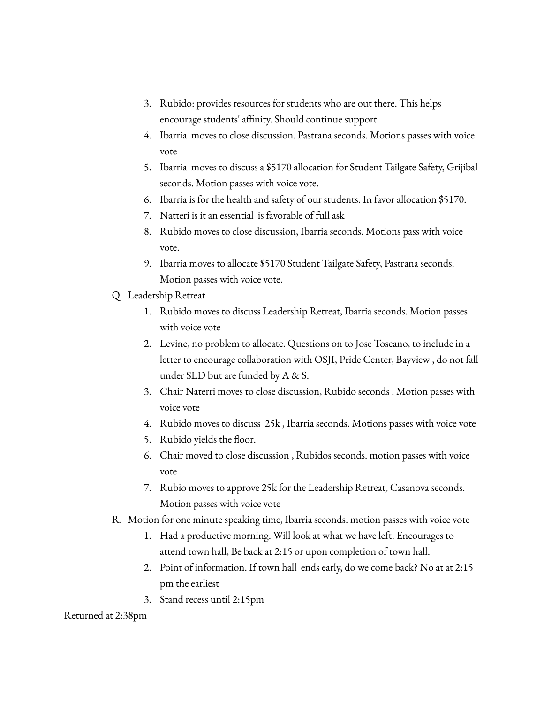- 3. Rubido: provides resources for students who are out there. This helps encourage students' affinity. Should continue support.
- 4. Ibarria moves to close discussion. Pastrana seconds. Motions passes with voice vote
- 5. Ibarria moves to discuss a \$5170 allocation for Student Tailgate Safety, Grijibal seconds. Motion passes with voice vote.
- 6. Ibarria is for the health and safety of our students. In favor allocation \$5170.
- 7. Natteri is it an essential is favorable of full ask
- 8. Rubido moves to close discussion, Ibarria seconds. Motions pass with voice vote.
- 9. Ibarria moves to allocate \$5170 Student Tailgate Safety, Pastrana seconds. Motion passes with voice vote.
- Q. Leadership Retreat
	- 1. Rubido moves to discuss Leadership Retreat, Ibarria seconds. Motion passes with voice vote
	- 2. Levine, no problem to allocate. Questions on to Jose Toscano, to include in a letter to encourage collaboration with OSJI, Pride Center, Bayview , do not fall under SLD but are funded by A & S.
	- 3. Chair Naterri moves to close discussion, Rubido seconds . Motion passes with voice vote
	- 4. Rubido moves to discuss 25k , Ibarria seconds. Motions passes with voice vote
	- 5. Rubido yields the floor.
	- 6. Chair moved to close discussion , Rubidos seconds. motion passes with voice vote
	- 7. Rubio moves to approve 25k for the Leadership Retreat, Casanova seconds. Motion passes with voice vote
- R. Motion for one minute speaking time, Ibarria seconds. motion passes with voice vote
	- 1. Had a productive morning. Will look at what we have left. Encourages to attend town hall, Be back at 2:15 or upon completion of town hall.
	- 2. Point of information. If town hall ends early, do we come back? No at at 2:15 pm the earliest
	- 3. Stand recess until 2:15pm

Returned at 2:38pm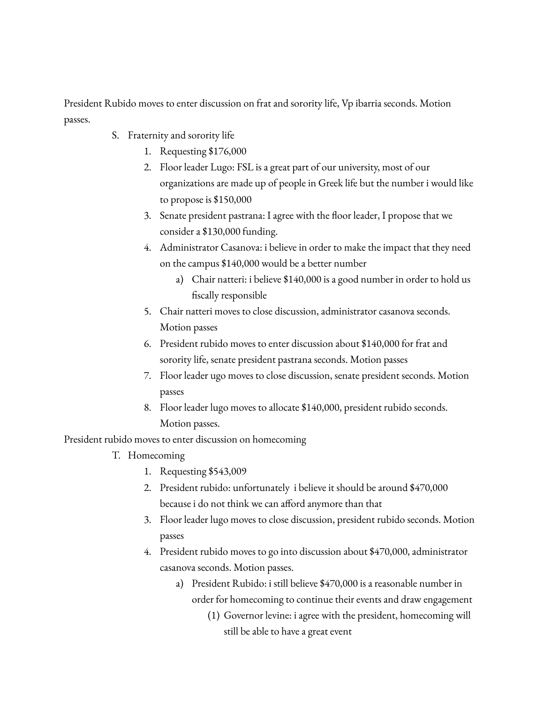President Rubido moves to enter discussion on frat and sorority life, Vp ibarria seconds. Motion passes.

- S. Fraternity and sorority life
	- 1. Requesting \$176,000
	- 2. Floor leader Lugo: FSL is a great part of our university, most of our organizations are made up of people in Greek life but the number i would like to propose is \$150,000
	- 3. Senate president pastrana: I agree with the floor leader, I propose that we consider a \$130,000 funding.
	- 4. Administrator Casanova: i believe in order to make the impact that they need on the campus \$140,000 would be a better number
		- a) Chair natteri: i believe \$140,000 is a good number in order to hold us fiscally responsible
	- 5. Chair natteri moves to close discussion, administrator casanova seconds. Motion passes
	- 6. President rubido moves to enter discussion about \$140,000 for frat and sorority life, senate president pastrana seconds. Motion passes
	- 7. Floor leader ugo moves to close discussion, senate president seconds. Motion passes
	- 8. Floor leader lugo moves to allocate \$140,000, president rubido seconds. Motion passes.

President rubido moves to enter discussion on homecoming

- T. Homecoming
	- 1. Requesting \$543,009
	- 2. President rubido: unfortunately i believe it should be around \$470,000 because i do not think we can afford anymore than that
	- 3. Floor leader lugo moves to close discussion, president rubido seconds. Motion passes
	- 4. President rubido moves to go into discussion about \$470,000, administrator casanova seconds. Motion passes.
		- a) President Rubido: i still believe \$470,000 is a reasonable number in order for homecoming to continue their events and draw engagement
			- (1) Governor levine: i agree with the president, homecoming will still be able to have a great event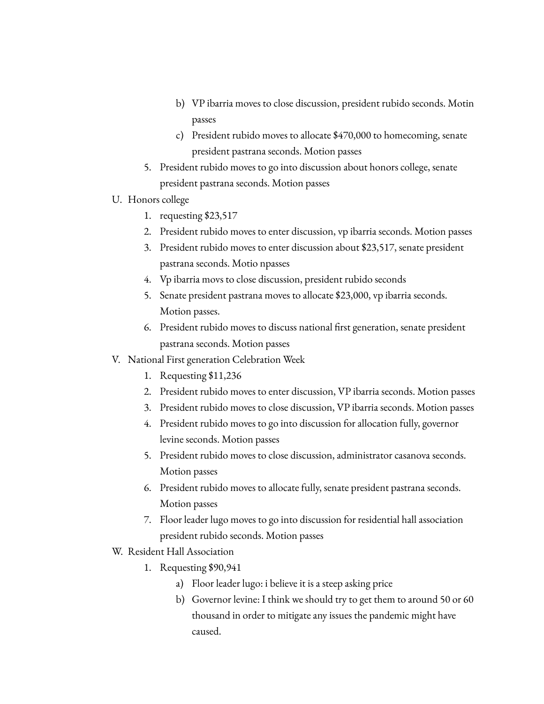- b) VP ibarria moves to close discussion, president rubido seconds. Motin passes
- c) President rubido moves to allocate \$470,000 to homecoming, senate president pastrana seconds. Motion passes
- 5. President rubido moves to go into discussion about honors college, senate president pastrana seconds. Motion passes
- U. Honors college
	- 1. requesting \$23,517
	- 2. President rubido moves to enter discussion, vp ibarria seconds. Motion passes
	- 3. President rubido moves to enter discussion about \$23,517, senate president pastrana seconds. Motio npasses
	- 4. Vp ibarria movs to close discussion, president rubido seconds
	- 5. Senate president pastrana moves to allocate \$23,000, vp ibarria seconds. Motion passes.
	- 6. President rubido moves to discuss national first generation, senate president pastrana seconds. Motion passes
- V. National First generation Celebration Week
	- 1. Requesting \$11,236
	- 2. President rubido moves to enter discussion, VP ibarria seconds. Motion passes
	- 3. President rubido moves to close discussion, VP ibarria seconds. Motion passes
	- 4. President rubido moves to go into discussion for allocation fully, governor levine seconds. Motion passes
	- 5. President rubido moves to close discussion, administrator casanova seconds. Motion passes
	- 6. President rubido moves to allocate fully, senate president pastrana seconds. Motion passes
	- 7. Floor leader lugo moves to go into discussion for residential hall association president rubido seconds. Motion passes
- W. Resident Hall Association
	- 1. Requesting \$90,941
		- a) Floor leader lugo: i believe it is a steep asking price
		- b) Governor levine: I think we should try to get them to around 50 or 60 thousand in order to mitigate any issues the pandemic might have caused.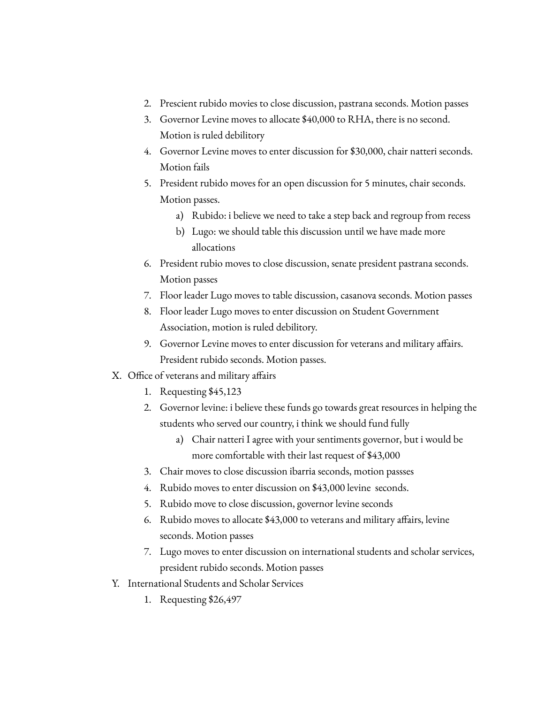- 2. Prescient rubido movies to close discussion, pastrana seconds. Motion passes
- 3. Governor Levine moves to allocate \$40,000 to RHA, there is no second. Motion is ruled debilitory
- 4. Governor Levine moves to enter discussion for \$30,000, chair natteri seconds. Motion fails
- 5. President rubido moves for an open discussion for 5 minutes, chair seconds. Motion passes.
	- a) Rubido: i believe we need to take a step back and regroup from recess
	- b) Lugo: we should table this discussion until we have made more allocations
- 6. President rubio moves to close discussion, senate president pastrana seconds. Motion passes
- 7. Floor leader Lugo moves to table discussion, casanova seconds. Motion passes
- 8. Floor leader Lugo moves to enter discussion on Student Government Association, motion is ruled debilitory.
- 9. Governor Levine moves to enter discussion for veterans and military affairs. President rubido seconds. Motion passes.
- X. Office of veterans and military affairs
	- 1. Requesting \$45,123
	- 2. Governor levine: i believe these funds go towards great resources in helping the students who served our country, i think we should fund fully
		- a) Chair natteri I agree with your sentiments governor, but i would be more comfortable with their last request of \$43,000
	- 3. Chair moves to close discussion ibarria seconds, motion passses
	- 4. Rubido moves to enter discussion on \$43,000 levine seconds.
	- 5. Rubido move to close discussion, governor levine seconds
	- 6. Rubido moves to allocate \$43,000 to veterans and military affairs, levine seconds. Motion passes
	- 7. Lugo moves to enter discussion on international students and scholar services, president rubido seconds. Motion passes
- Y. International Students and Scholar Services
	- 1. Requesting \$26,497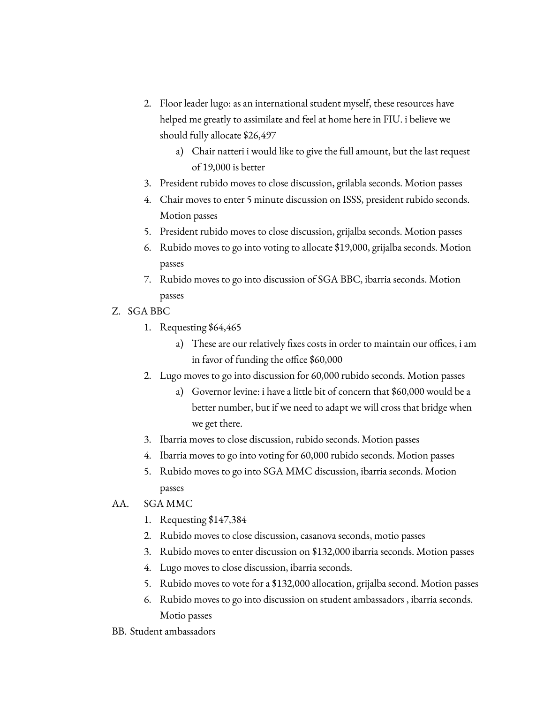- 2. Floor leader lugo: as an international student myself, these resources have helped me greatly to assimilate and feel at home here in FIU. i believe we should fully allocate \$26,497
	- a) Chair natteri i would like to give the full amount, but the last request of 19,000 is better
- 3. President rubido moves to close discussion, grilabla seconds. Motion passes
- 4. Chair moves to enter 5 minute discussion on ISSS, president rubido seconds. Motion passes
- 5. President rubido moves to close discussion, grijalba seconds. Motion passes
- 6. Rubido moves to go into voting to allocate \$19,000, grijalba seconds. Motion passes
- 7. Rubido moves to go into discussion of SGA BBC, ibarria seconds. Motion passes
- Z. SGA BBC
	- 1. Requesting \$64,465
		- a) These are our relatively fixes costs in order to maintain our offices, i am in favor of funding the office \$60,000
	- 2. Lugo moves to go into discussion for 60,000 rubido seconds. Motion passes
		- a) Governor levine: i have a little bit of concern that \$60,000 would be a better number, but if we need to adapt we will cross that bridge when we get there.
	- 3. Ibarria moves to close discussion, rubido seconds. Motion passes
	- 4. Ibarria moves to go into voting for 60,000 rubido seconds. Motion passes
	- 5. Rubido moves to go into SGA MMC discussion, ibarria seconds. Motion passes
- AA. SGA MMC
	- 1. Requesting \$147,384
	- 2. Rubido moves to close discussion, casanova seconds, motio passes
	- 3. Rubido moves to enter discussion on \$132,000 ibarria seconds. Motion passes
	- 4. Lugo moves to close discussion, ibarria seconds.
	- 5. Rubido moves to vote for a \$132,000 allocation, grijalba second. Motion passes
	- 6. Rubido moves to go into discussion on student ambassadors , ibarria seconds. Motio passes
- BB. Student ambassadors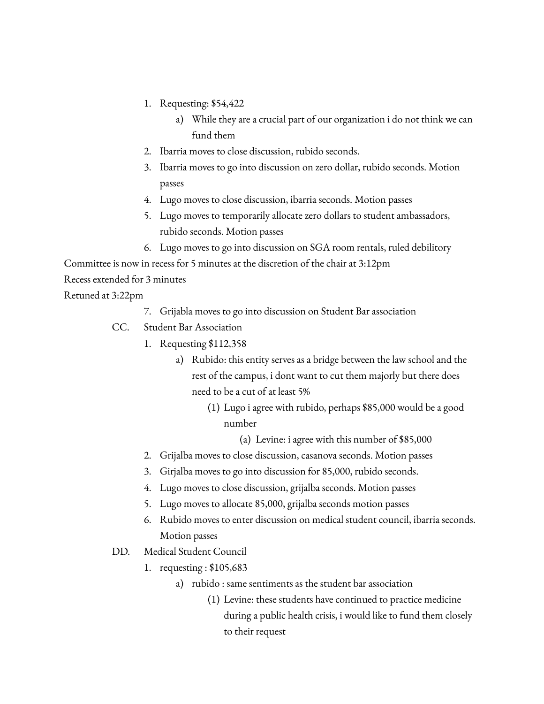- 1. Requesting: \$54,422
	- a) While they are a crucial part of our organization i do not think we can fund them
- 2. Ibarria moves to close discussion, rubido seconds.
- 3. Ibarria moves to go into discussion on zero dollar, rubido seconds. Motion passes
- 4. Lugo moves to close discussion, ibarria seconds. Motion passes
- 5. Lugo moves to temporarily allocate zero dollars to student ambassadors, rubido seconds. Motion passes
- 6. Lugo moves to go into discussion on SGA room rentals, ruled debilitory

Committee is now in recess for 5 minutes at the discretion of the chair at 3:12pm

Recess extended for 3 minutes

Retuned at 3:22pm

- 7. Grijabla moves to go into discussion on Student Bar association
- CC. Student Bar Association
	- 1. Requesting \$112,358
		- a) Rubido: this entity serves as a bridge between the law school and the rest of the campus, i dont want to cut them majorly but there does need to be a cut of at least 5%
			- (1) Lugo i agree with rubido, perhaps \$85,000 would be a good number

(a) Levine: i agree with this number of \$85,000

- 2. Grijalba moves to close discussion, casanova seconds. Motion passes
- 3. Girjalba moves to go into discussion for 85,000, rubido seconds.
- 4. Lugo moves to close discussion, grijalba seconds. Motion passes
- 5. Lugo moves to allocate 85,000, grijalba seconds motion passes
- 6. Rubido moves to enter discussion on medical student council, ibarria seconds. Motion passes
- DD. Medical Student Council
	- 1. requesting : \$105,683
		- a) rubido : same sentiments as the student bar association
			- (1) Levine: these students have continued to practice medicine during a public health crisis, i would like to fund them closely to their request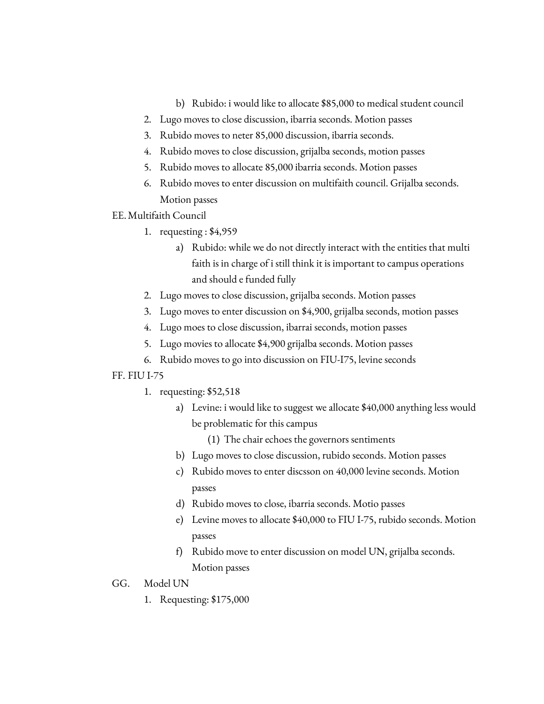- b) Rubido: i would like to allocate \$85,000 to medical student council
- 2. Lugo moves to close discussion, ibarria seconds. Motion passes
- 3. Rubido moves to neter 85,000 discussion, ibarria seconds.
- 4. Rubido moves to close discussion, grijalba seconds, motion passes
- 5. Rubido moves to allocate 85,000 ibarria seconds. Motion passes
- 6. Rubido moves to enter discussion on multifaith council. Grijalba seconds. Motion passes
- EE.Multifaith Council
	- 1. requesting : \$4,959
		- a) Rubido: while we do not directly interact with the entities that multi faith is in charge of i still think it is important to campus operations and should e funded fully
	- 2. Lugo moves to close discussion, grijalba seconds. Motion passes
	- 3. Lugo moves to enter discussion on \$4,900, grijalba seconds, motion passes
	- 4. Lugo moes to close discussion, ibarrai seconds, motion passes
	- 5. Lugo movies to allocate \$4,900 grijalba seconds. Motion passes
	- 6. Rubido moves to go into discussion on FIU-I75, levine seconds

### FF. FIU I-75

- 1. requesting: \$52,518
	- a) Levine: i would like to suggest we allocate \$40,000 anything less would be problematic for this campus
		- (1) The chair echoes the governors sentiments
	- b) Lugo moves to close discussion, rubido seconds. Motion passes
	- c) Rubido moves to enter discsson on 40,000 levine seconds. Motion passes
	- d) Rubido moves to close, ibarria seconds. Motio passes
	- e) Levine moves to allocate \$40,000 to FIU I-75, rubido seconds. Motion passes
	- f) Rubido move to enter discussion on model UN, grijalba seconds. Motion passes
- GG. Model UN
	- 1. Requesting: \$175,000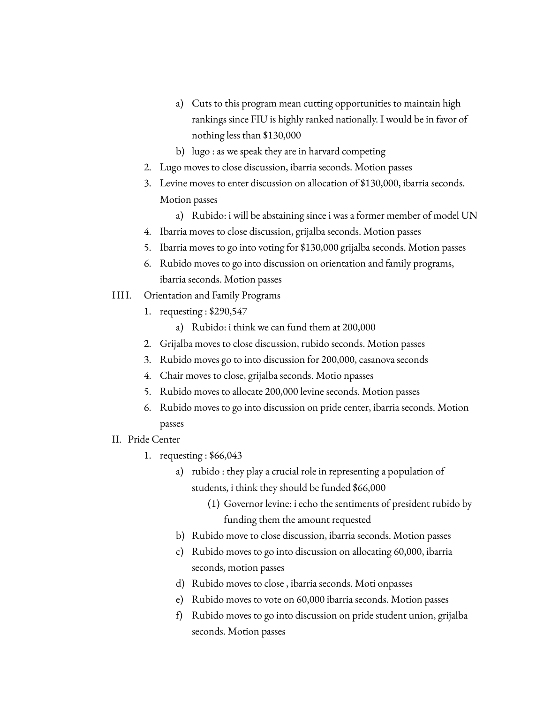- a) Cuts to this program mean cutting opportunities to maintain high rankings since FIU is highly ranked nationally. I would be in favor of nothing less than \$130,000
- b) lugo : as we speak they are in harvard competing
- 2. Lugo moves to close discussion, ibarria seconds. Motion passes
- 3. Levine moves to enter discussion on allocation of \$130,000, ibarria seconds. Motion passes
	- a) Rubido: i will be abstaining since i was a former member of model UN
- 4. Ibarria moves to close discussion, grijalba seconds. Motion passes
- 5. Ibarria moves to go into voting for \$130,000 grijalba seconds. Motion passes
- 6. Rubido moves to go into discussion on orientation and family programs, ibarria seconds. Motion passes
- HH. Orientation and Family Programs
	- 1. requesting : \$290,547
		- a) Rubido: i think we can fund them at 200,000
	- 2. Grijalba moves to close discussion, rubido seconds. Motion passes
	- 3. Rubido moves go to into discussion for 200,000, casanova seconds
	- 4. Chair moves to close, grijalba seconds. Motio npasses
	- 5. Rubido moves to allocate 200,000 levine seconds. Motion passes
	- 6. Rubido moves to go into discussion on pride center, ibarria seconds. Motion passes
- II. Pride Center
	- 1. requesting : \$66,043
		- a) rubido : they play a crucial role in representing a population of students, i think they should be funded \$66,000
			- (1) Governor levine: i echo the sentiments of president rubido by funding them the amount requested
		- b) Rubido move to close discussion, ibarria seconds. Motion passes
		- c) Rubido moves to go into discussion on allocating 60,000, ibarria seconds, motion passes
		- d) Rubido moves to close , ibarria seconds. Moti onpasses
		- e) Rubido moves to vote on 60,000 ibarria seconds. Motion passes
		- f) Rubido moves to go into discussion on pride student union, grijalba seconds. Motion passes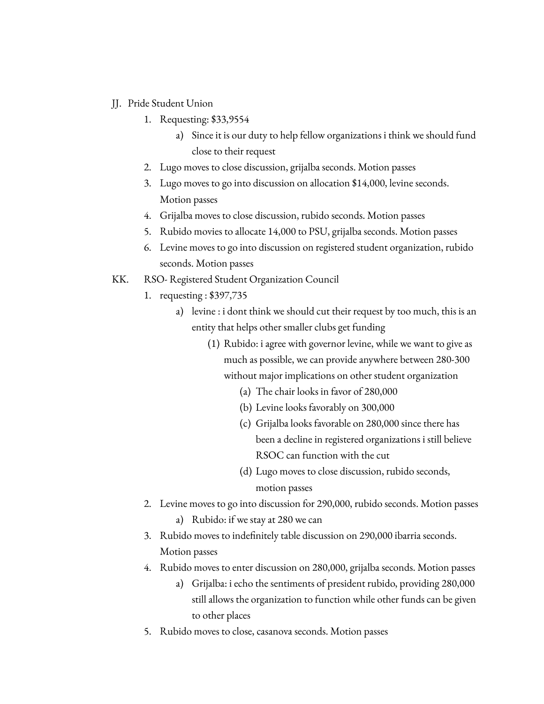- JJ. Pride Student Union
	- 1. Requesting: \$33,9554
		- a) Since it is our duty to help fellow organizations i think we should fund close to their request
	- 2. Lugo moves to close discussion, grijalba seconds. Motion passes
	- 3. Lugo moves to go into discussion on allocation \$14,000, levine seconds. Motion passes
	- 4. Grijalba moves to close discussion, rubido seconds. Motion passes
	- 5. Rubido movies to allocate 14,000 to PSU, grijalba seconds. Motion passes
	- 6. Levine moves to go into discussion on registered student organization, rubido seconds. Motion passes
- KK. RSO- Registered Student Organization Council
	- 1. requesting : \$397,735
		- a) levine : i dont think we should cut their request by too much, this is an entity that helps other smaller clubs get funding
			- (1) Rubido: i agree with governor levine, while we want to give as much as possible, we can provide anywhere between 280-300 without major implications on other student organization
				- (a) The chair looks in favor of 280,000
				- (b) Levine looks favorably on 300,000
				- (c) Grijalba looks favorable on 280,000 since there has been a decline in registered organizations i still believe RSOC can function with the cut
				- (d) Lugo moves to close discussion, rubido seconds, motion passes
	- 2. Levine moves to go into discussion for 290,000, rubido seconds. Motion passes a) Rubido: if we stay at 280 we can
	- 3. Rubido moves to indefinitely table discussion on 290,000 ibarria seconds. Motion passes
	- 4. Rubido moves to enter discussion on 280,000, grijalba seconds. Motion passes
		- a) Grijalba: i echo the sentiments of president rubido, providing 280,000 still allows the organization to function while other funds can be given to other places
	- 5. Rubido moves to close, casanova seconds. Motion passes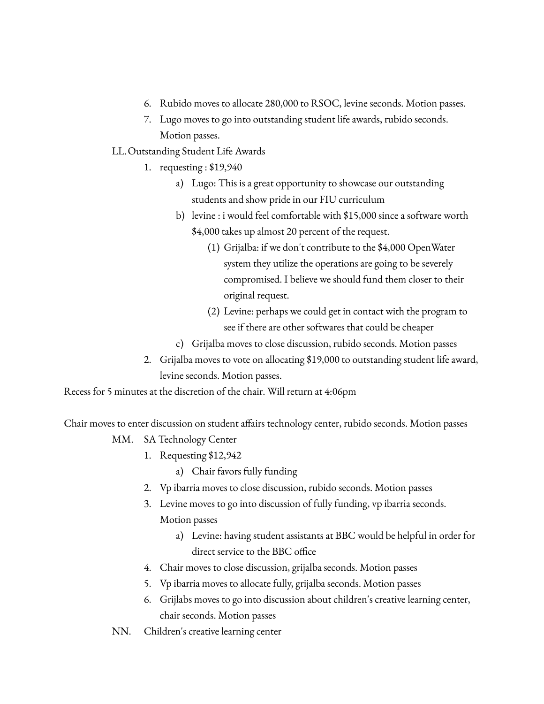- 6. Rubido moves to allocate 280,000 to RSOC, levine seconds. Motion passes.
- 7. Lugo moves to go into outstanding student life awards, rubido seconds. Motion passes.
- LL.Outstanding Student Life Awards
	- 1. requesting : \$19,940
		- a) Lugo: This is a great opportunity to showcase our outstanding students and show pride in our FIU curriculum
		- b) levine : i would feel comfortable with \$15,000 since a software worth \$4,000 takes up almost 20 percent of the request.
			- (1) Grijalba: if we don't contribute to the \$4,000 OpenWater system they utilize the operations are going to be severely compromised. I believe we should fund them closer to their original request.
			- (2) Levine: perhaps we could get in contact with the program to see if there are other softwares that could be cheaper
		- c) Grijalba moves to close discussion, rubido seconds. Motion passes
	- 2. Grijalba moves to vote on allocating \$19,000 to outstanding student life award, levine seconds. Motion passes.

Recess for 5 minutes at the discretion of the chair. Will return at 4:06pm

Chair moves to enter discussion on student affairs technology center, rubido seconds. Motion passes

- MM. SA Technology Center
	- 1. Requesting \$12,942
		- a) Chair favors fully funding
	- 2. Vp ibarria moves to close discussion, rubido seconds. Motion passes
	- 3. Levine moves to go into discussion of fully funding, vp ibarria seconds. Motion passes
		- a) Levine: having student assistants at BBC would be helpful in order for direct service to the BBC office
	- 4. Chair moves to close discussion, grijalba seconds. Motion passes
	- 5. Vp ibarria moves to allocate fully, grijalba seconds. Motion passes
	- 6. Grijlabs moves to go into discussion about children's creative learning center, chair seconds. Motion passes
- NN. Children's creative learning center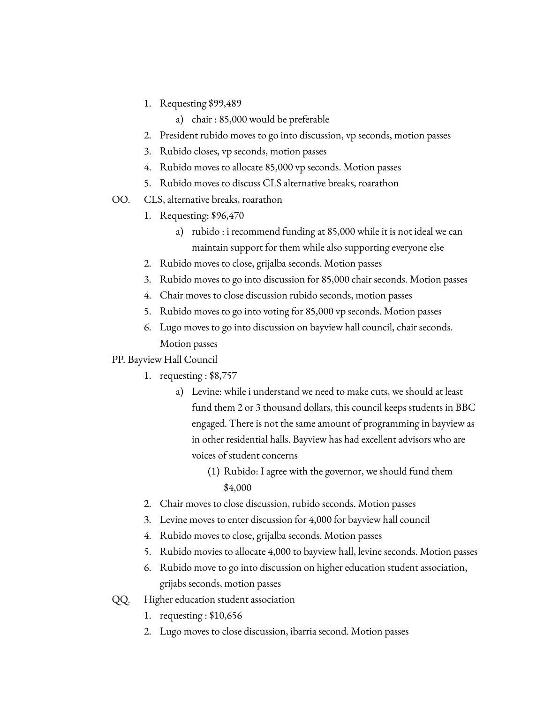- 1. Requesting \$99,489
	- a) chair : 85,000 would be preferable
- 2. President rubido moves to go into discussion, vp seconds, motion passes
- 3. Rubido closes, vp seconds, motion passes
- 4. Rubido moves to allocate 85,000 vp seconds. Motion passes
- 5. Rubido moves to discuss CLS alternative breaks, roarathon
- OO. CLS, alternative breaks, roarathon
	- 1. Requesting: \$96,470
		- a) rubido : i recommend funding at 85,000 while it is not ideal we can maintain support for them while also supporting everyone else
	- 2. Rubido moves to close, grijalba seconds. Motion passes
	- 3. Rubido moves to go into discussion for 85,000 chair seconds. Motion passes
	- 4. Chair moves to close discussion rubido seconds, motion passes
	- 5. Rubido moves to go into voting for 85,000 vp seconds. Motion passes
	- 6. Lugo moves to go into discussion on bayview hall council, chair seconds. Motion passes
- PP. Bayview Hall Council
	- 1. requesting : \$8,757
		- a) Levine: while i understand we need to make cuts, we should at least fund them 2 or 3 thousand dollars, this council keeps students in BBC engaged. There is not the same amount of programming in bayview as in other residential halls. Bayview has had excellent advisors who are voices of student concerns
			- (1) Rubido: I agree with the governor, we should fund them \$4,000
	- 2. Chair moves to close discussion, rubido seconds. Motion passes
	- 3. Levine moves to enter discussion for 4,000 for bayview hall council
	- 4. Rubido moves to close, grijalba seconds. Motion passes
	- 5. Rubido movies to allocate 4,000 to bayview hall, levine seconds. Motion passes
	- 6. Rubido move to go into discussion on higher education student association, grijabs seconds, motion passes
- QQ. Higher education student association
	- 1. requesting : \$10,656
	- 2. Lugo moves to close discussion, ibarria second. Motion passes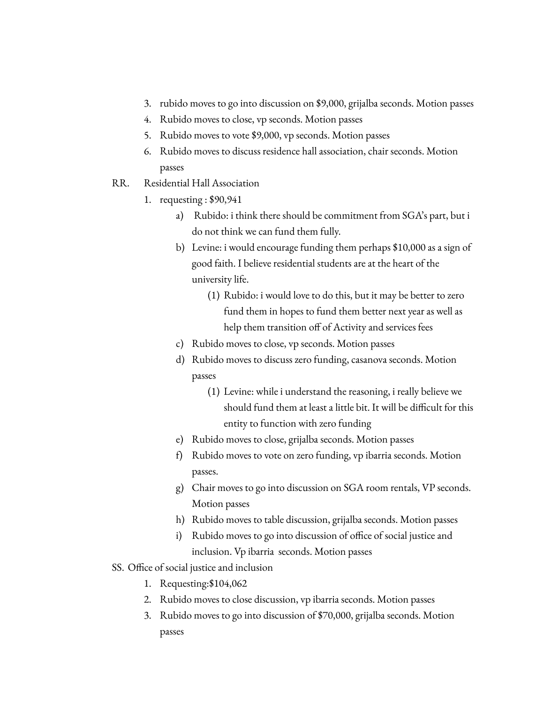- 3. rubido moves to go into discussion on \$9,000, grijalba seconds. Motion passes
- 4. Rubido moves to close, vp seconds. Motion passes
- 5. Rubido moves to vote \$9,000, vp seconds. Motion passes
- 6. Rubido moves to discuss residence hall association, chair seconds. Motion passes
- RR. Residential Hall Association
	- 1. requesting : \$90,941
		- a) Rubido: i think there should be commitment from SGA's part, but i do not think we can fund them fully.
		- b) Levine: i would encourage funding them perhaps \$10,000 as a sign of good faith. I believe residential students are at the heart of the university life.
			- (1) Rubido: i would love to do this, but it may be better to zero fund them in hopes to fund them better next year as well as help them transition off of Activity and services fees
		- c) Rubido moves to close, vp seconds. Motion passes
		- d) Rubido moves to discuss zero funding, casanova seconds. Motion passes
			- (1) Levine: while i understand the reasoning, i really believe we should fund them at least a little bit. It will be difficult for this entity to function with zero funding
		- e) Rubido moves to close, grijalba seconds. Motion passes
		- f) Rubido moves to vote on zero funding, vp ibarria seconds. Motion passes.
		- g) Chair moves to go into discussion on SGA room rentals, VP seconds. Motion passes
		- h) Rubido moves to table discussion, grijalba seconds. Motion passes
		- i) Rubido moves to go into discussion of office of social justice and inclusion. Vp ibarria seconds. Motion passes
- SS. Office of social justice and inclusion
	- 1. Requesting:\$104,062
	- 2. Rubido moves to close discussion, vp ibarria seconds. Motion passes
	- 3. Rubido moves to go into discussion of \$70,000, grijalba seconds. Motion passes